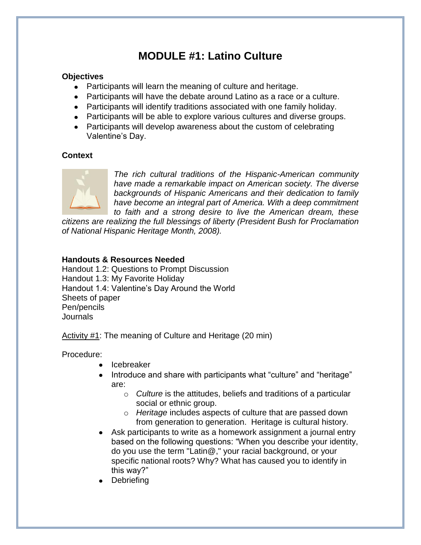# **MODULE #1: Latino Culture**

#### **Objectives**

- Participants will learn the meaning of culture and heritage.
- Participants will have the debate around Latino as a race or a culture.
- Participants will identify traditions associated with one family holiday.
- Participants will be able to explore various cultures and diverse groups.
- Participants will develop awareness about the custom of celebrating Valentine's Day.

### **Context**



*The rich cultural traditions of the Hispanic-American community have made a remarkable impact on American society. The diverse backgrounds of Hispanic Americans and their dedication to family have become an integral part of America. With a deep commitment to faith and a strong desire to live the American dream, these* 

*citizens are realizing the full blessings of liberty (President Bush for Proclamation of National Hispanic Heritage Month, 2008).*

# **Handouts & Resources Needed**

Handout 1.2: Questions to Prompt Discussion Handout 1.3: My Favorite Holiday Handout 1.4: Valentine's Day Around the World Sheets of paper Pen/pencils Journals

Activity #1: The meaning of Culture and Heritage (20 min)

Procedure:

- **•** Icebreaker
- Introduce and share with participants what "culture" and "heritage" are:
	- o *Culture* is the attitudes, beliefs and traditions of a particular social or ethnic group.
	- o *Heritage* includes aspects of culture that are passed down from generation to generation. Heritage is cultural history.
- Ask participants to write as a homework assignment a journal entry based on the following questions: "When you describe your identity, do you use the term "Latin@," your racial background, or your specific national roots? Why? What has caused you to identify in this way?"
- **Debriefing**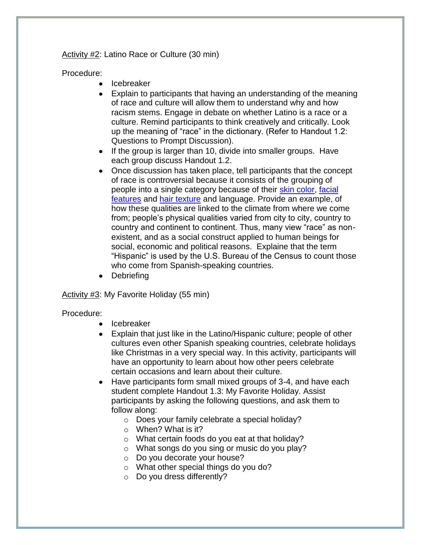Activity #2: Latino Race or Culture (30 min)

#### Procedure:

- Icebreaker  $\bullet$
- Explain to participants that having an understanding of the meaning of race and culture will allow them to understand why and how racism stems. Engage in debate on whether Latino is a race or a culture. Remind participants to think creatively and critically. Look up the meaning of "race" in the dictionary. (Refer to Handout 1.2: Questions to Prompt Discussion).
- $\bullet$  If the group is larger than 10, divide into smaller groups. Have each group discuss Handout 1.2.
- Once discussion has taken place, tell participants that the concept of race is controversial because it consists of the grouping of people into a single category because of their [skin color,](http://en.wikipedia.org/wiki/Skin_color) [facial](http://en.wikipedia.org/wiki/Face)  [features](http://en.wikipedia.org/wiki/Face) and [hair texture](http://en.wikipedia.org/wiki/Hair) and language. Provide an example, of how these qualities are linked to the climate from where we come from; people's physical qualities varied from city to city, country to country and continent to continent. Thus, many view "race" as nonexistent, and as a social construct applied to human beings for social, economic and political reasons. Explaine that the term "Hispanic" is used by the U.S. Bureau of the Census to count those who come from Spanish-speaking countries.
- Debriefing

#### Activity #3: My Favorite Holiday (55 min)

#### Procedure:

- Icebreaker  $\bullet$
- Explain that just like in the Latino/Hispanic culture; people of other cultures even other Spanish speaking countries, celebrate holidays like Christmas in a very special way. In this activity, participants will have an opportunity to learn about how other peers celebrate certain occasions and learn about their culture.
- Have participants form small mixed groups of 3-4, and have each  $\bullet$ student complete Handout 1.3: My Favorite Holiday. Assist participants by asking the following questions, and ask them to follow along:
	- o Does your family celebrate a special holiday?
	- o When? What is it?
	- o What certain foods do you eat at that holiday?
	- o What songs do you sing or music do you play?
	- o Do you decorate your house?
	- o What other special things do you do?
	- o Do you dress differently?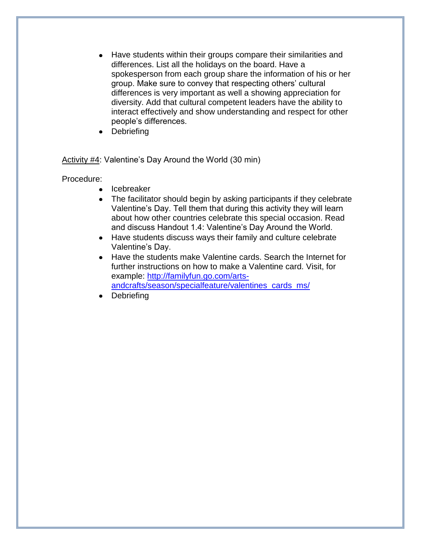- Have students within their groups compare their similarities and  $\bullet$ differences. List all the holidays on the board. Have a spokesperson from each group share the information of his or her group. Make sure to convey that respecting others' cultural differences is very important as well a showing appreciation for diversity. Add that cultural competent leaders have the ability to interact effectively and show understanding and respect for other people's differences.
- **Debriefing**

Activity #4: Valentine's Day Around the World (30 min)

Procedure:

- Icebreaker
- The facilitator should begin by asking participants if they celebrate Valentine's Day. Tell them that during this activity they will learn about how other countries celebrate this special occasion. Read and discuss Handout 1.4: Valentine's Day Around the World.
- Have students discuss ways their family and culture celebrate Valentine's Day.
- Have the students make Valentine cards. Search the Internet for further instructions on how to make a Valentine card. Visit, for example: [http://familyfun.go.com/arts](http://familyfun.go.com/arts-andcrafts/season/specialfeature/valentines_cards_ms/)[andcrafts/season/specialfeature/valentines\\_cards\\_ms/](http://familyfun.go.com/arts-andcrafts/season/specialfeature/valentines_cards_ms/)
- Debriefing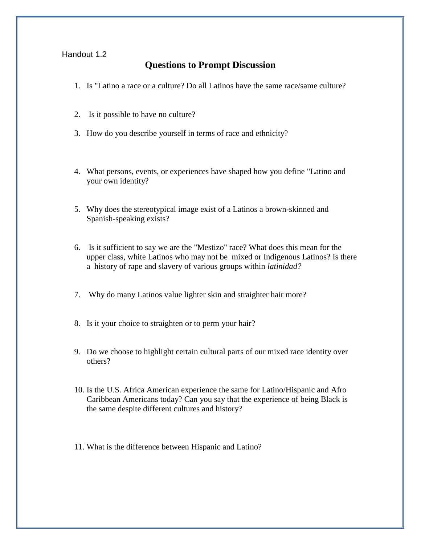#### Handout 1.2

# **Questions to Prompt Discussion**

- 1. Is "Latino a race or a culture? Do all Latinos have the same race/same culture?
- 2. Is it possible to have no culture?
- 3. How do you describe yourself in terms of race and ethnicity?
- 4. What persons, events, or experiences have shaped how you define "Latino and your own identity?
- 5. Why does the stereotypical image exist of a Latinos a brown-skinned and Spanish-speaking exists?
- 6. Is it sufficient to say we are the "Mestizo" race? What does this mean for the upper class, white Latinos who may not be mixed or Indigenous Latinos? Is there a history of rape and slavery of various groups within *latinidad?*
- 7. Why do many Latinos value lighter skin and straighter hair more?
- 8. Is it your choice to straighten or to perm your hair?
- 9. Do we choose to highlight certain cultural parts of our mixed race identity over others?
- 10. Is the U.S. Africa American experience the same for Latino/Hispanic and Afro Caribbean Americans today? Can you say that the experience of being Black is the same despite different cultures and history?
- 11. What is the difference between Hispanic and Latino?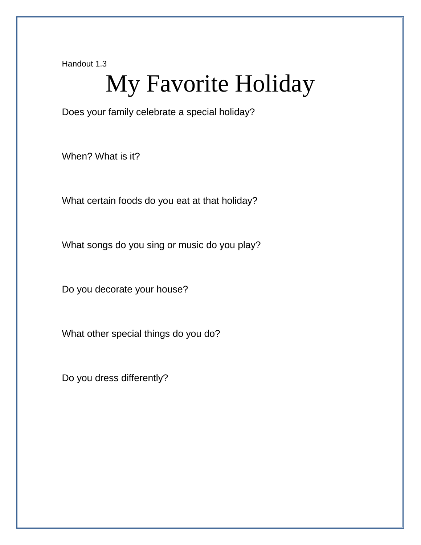Handout 1.3

# My Favorite Holiday

Does your family celebrate a special holiday?

When? What is it?

What certain foods do you eat at that holiday?

What songs do you sing or music do you play?

Do you decorate your house?

What other special things do you do?

Do you dress differently?